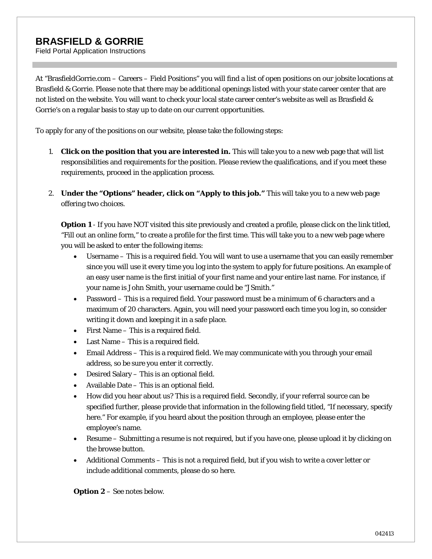## **BRASFIELD & GORRIE**

Field Portal Application Instructions

At "BrasfieldGorrie.com – Careers – Field Positions" you will find a list of open positions on our jobsite locations at Brasfield & Gorrie. Please note that there may be additional openings listed with your state career center that are not listed on the website. You will want to check your local state career center's website as well as Brasfield & Gorrie's on a regular basis to stay up to date on our current opportunities.

To apply for any of the positions on our website, please take the following steps:

- 1. **Click on the position that you are interested in.** This will take you to a new web page that will list responsibilities and requirements for the position. Please review the qualifications, and if you meet these requirements, proceed in the application process.
- 2. **Under the "Options" header, click on "Apply to this job."** This will take you to a new web page offering two choices.

**Option 1** - If you have NOT visited this site previously and created a profile, please click on the link titled, "Fill out an online form," to create a profile for the first time. This will take you to a new web page where you will be asked to enter the following items:

- Username This is a required field. You will want to use a username that you can easily remember since you will use it every time you log into the system to apply for future positions. An example of an easy user name is the first initial of your first name and your entire last name. For instance, if your name is John Smith, your username could be "JSmith."
- Password This is a required field. Your password must be a minimum of 6 characters and a maximum of 20 characters. Again, you will need your password each time you log in, so consider writing it down and keeping it in a safe place.
- First Name This is a required field.
- Last Name This is a required field.
- Email Address This is a required field. We may communicate with you through your email address, so be sure you enter it correctly.
- Desired Salary This is an optional field.
- Available Date This is an optional field.
- How did you hear about us? This is a required field. Secondly, if your referral source can be specified further, please provide that information in the following field titled, "If necessary, specify here." For example, if you heard about the position through an employee, please enter the employee's name.
- Resume Submitting a resume is not required, but if you have one, please upload it by clicking on the browse button.
- Additional Comments This is not a required field, but if you wish to write a cover letter or include additional comments, please do so here.

**Option 2** – See notes below.